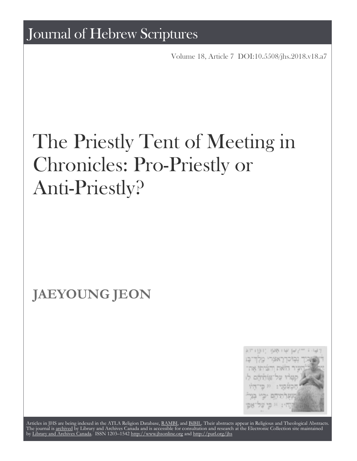Volume 18, Article 7 [DOI:10.5508/jhs.2018.v18.a7](http://dx.doi.org/10.5508/jhs.2018.v18.a7)

# The Priestly Tent of Meeting in Chronicles: Pro-Priestly or Anti-Priestly?

## **JAEYOUNG JEON**



Articles in JHS are being indexed in the ATLA Religion Database, [RAMBI,](http://web.nli.org.il/sites/nli/english/infochannels/catalogs/bibliographic-databases/rambi/pages/rambi.aspx) and [BiBIL](http://bibil.net/). Their abstracts appear in Religious and Theological Abstracts. The journal is [archived](http://epe.lac-bac.gc.ca/100/201/300/journal_hebrew/index.html) by Library and Archives Canada and is accessible for consultation and research at the Electronic Collection site maintained by [Library and Archives Canada.](http://collectionscanada.ca/electroniccollection/) ISSN 1203–1542 <http://www.jhsonline.org>and<http://purl.org/jhs>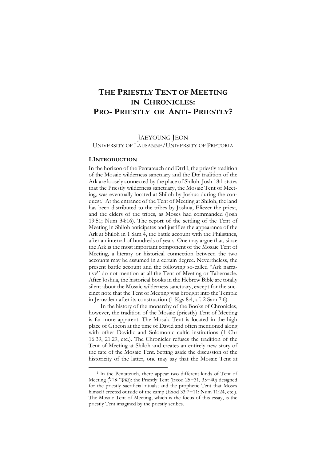### **THE PRIESTLY TENT OF MEETING IN CHRONICLES: PRO- PRIESTLY OR ANTI- PRIESTLY?**

JAEYOUNG JEON

UNIVERSITY OF LAUSANNE/UNIVERSITY OF PRETORIA

#### **I.INTRODUCTION**

 $\overline{a}$ 

In the horizon of the Pentateuch and DtrH, the priestly tradition of the Mosaic wilderness sanctuary and the Dtr tradition of the Ark are loosely connected by the place of Shiloh. Josh 18:1 states that the Priestly wilderness sanctuary, the Mosaic Tent of Meeting, was eventually located at Shiloh by Joshua during the conquest.<sup>1</sup> At the entrance of the Tent of Meeting at Shiloh, the land has been distributed to the tribes by Joshua, Eliezer the priest, and the elders of the tribes, as Moses had commanded (Josh 19:51; Num 34:16). The report of the settling of the Tent of Meeting in Shiloh anticipates and justifies the appearance of the Ark at Shiloh in 1 Sam 4, the battle account with the Philistines, after an interval of hundreds of years. One may argue that, since the Ark is the most important component of the Mosaic Tent of Meeting, a literary or historical connection between the two accounts may be assumed in a certain degree. Nevertheless, the present battle account and the following so-called "Ark narrative" do not mention at all the Tent of Meeting or Tabernacle. After Joshua, the historical books in the Hebrew Bible are totally silent about the Mosaic wilderness sanctuary, except for the succinct note that the Tent of Meeting was brought into the Temple in Jerusalem after its construction (1 Kgs 8:4, cf. 2 Sam 7:6).

In the history of the monarchy of the Books of Chronicles, however, the tradition of the Mosaic (priestly) Tent of Meeting is far more apparent. The Mosaic Tent is located in the high place of Gibeon at the time of David and often mentioned along with other Davidic and Solomonic cultic institutions (1 Chr 16:39, 21:29, etc.). The Chronicler refuses the tradition of the Tent of Meeting at Shiloh and creates an entirely new story of the fate of the Mosaic Tent. Setting aside the discussion of the historicity of the latter, one may say that the Mosaic Tent at

<sup>1</sup> In the Pentateuch, there appear two different kinds of Tent of Meeting (מועד אהל): the Priestly Tent (Exod 25−31, 35−40) designed for the priestly sacrificial rituals; and the prophetic Tent that Moses himself erected outside of the camp (Exod 33:7−11; Num 11:24, etc.). The Mosaic Tent of Meeting, which is the focus of this essay, is the priestly Tent imagined by the priestly scribes.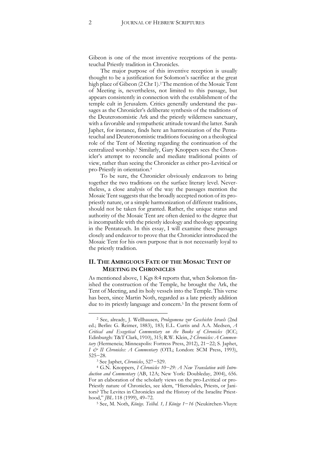Gibeon is one of the most inventive receptions of the pentateuchal Priestly tradition in Chronicles.

The major purpose of this inventive reception is usually thought to be a justification for Solomon's sacrifice at the great high place of Gibeon (2 Chr 1).<sup>2</sup> The mention of the Mosaic Tent of Meeting is, nevertheless, not limited to this passage, but appears consistently in connection with the establishment of the temple cult in Jerusalem. Critics generally understand the passages as the Chronicler's deliberate synthesis of the traditions of the Deuteronomistic Ark and the priestly wilderness sanctuary, with a favorable and sympathetic attitude toward the latter. Sarah Japhet, for instance, finds here an harmonization of the Pentateuchal and Deuteronomistic traditions focusing on a theological role of the Tent of Meeting regarding the continuation of the centralized worship.<sup>3</sup> Similarly, Gary Knoppers sees the Chronicler's attempt to reconcile and mediate traditional points of view, rather than seeing the Chronicler as either pro-Levitical or pro-Priestly in orientation.<sup>4</sup>

To be sure, the Chronicler obviously endeavors to bring together the two traditions on the surface literary level. Nevertheless, a close analysis of the way the passages mention the Mosaic Tent suggests that the broadly accepted notion of its propriestly nature, or a simple harmonization of different traditions, should not be taken for granted. Rather, the unique status and authority of the Mosaic Tent are often denied to the degree that is incompatible with the priestly ideology and theology appearing in the Pentateuch. In this essay, I will examine these passages closely and endeavor to prove that the Chronicler introduced the Mosaic Tent for his own purpose that is not necessarily loyal to the priestly tradition.

#### **II. THE AMBIGUOUS FATE OF THE MOSAIC TENT OF MEETING IN CHRONICLES**

As mentioned above, 1 Kgs 8:4 reports that, when Solomon finished the construction of the Temple, he brought the Ark, the Tent of Meeting, and its holy vessels into the Temple. This verse has been, since Martin Noth, regarded as a late priestly addition due to its priestly language and concern.<sup>5</sup> In the present form of

<sup>2</sup> See, already, J. Wellhausen, *Prolegomena zur Geschichte Israels* (2nd ed.; Berlin: G. Reimer, 1883), 183; E.L. Curtis and A.A. Medsen, *A Critical and Exegetical Commentary on the Books of Chronicles* (ICC; Edinburgh: T&T Clark, 1910), 315; R.W. Klein, *2 Chronicles: A Commentary* (Hermeneia; Minneapolis: Fortress Press, 2012), 21−22; S. Japhet, *I & II Chronicles: A Commentary* (OTL; London: SCM Press, 1993), 525−28.

<sup>3</sup> See Japhet, *Chronicles*, 527−529.

<sup>4</sup> G.N. Knoppers, *I Chronicles 10−29: A New Translation with Introduction and Commentary* (AB, 12A; New York: Doubleday, 2004), 656. For an elaboration of the scholarly views on the pro-Levitical or pro-Priestly nature of Chronicles, see idem, "Hierodules, Priests, or Janitors? The Levites in Chronicles and the History of the Israelite Priesthood," *JBL* 118 (1999), 49–72.

<sup>5</sup> See, M. Noth, *Könige. Teilbd. 1, I Könige 1*−*16* (Neukirchen-Vluyn: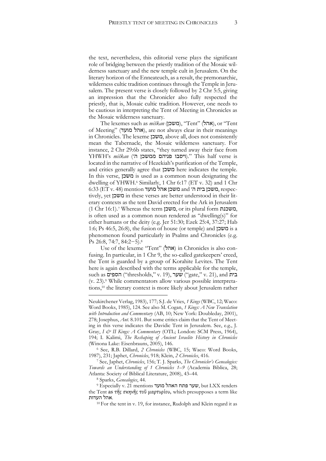the text, nevertheless, this editorial verse plays the significant role of bridging between the priestly tradition of the Mosaic wilderness sanctuary and the new temple cult in Jerusalem. On the literary horizon of the Enneateuch, as a result, the premonarchic, wilderness cultic tradition continues through the Temple in Jerusalem. The present verse is closely followed by 2 Chr 5:5, giving an impression that the Chronicler also fully respected the priestly, that is, Mosaic cultic tradition. However, one needs to be cautious in interpreting the Tent of Meeting in Chronicles as the Mosaic wilderness sanctuary.

The lexemes such as *miškan* (משכן), "Tent" (אהל), or "Tent of Meeting" (אהל מועד), are not always clear in their meanings in Chronicles. The lexeme משכן, above all, does not consistently mean the Tabernacle, the Mosaic wilderness sanctuary. For instance, 2 Chr 29:6b states, "they turned away their face from YHWH's miškan ("ויסבו פניהם ממשכן). "This half verse is located in the narrative of Hezekiah's purification of the Temple, and critics generally agree that משכן here indicates the temple. In this verse, משכן is used as a common noun designating the dwelling of YHWH.<sup>6</sup> Similarly, 1 Chr 6:17 (ET v. 32) and 1 Chr  $6:33$  (ET v. 48) mention משכן אהל מועד and משכן בית ה׳ cspectively, yet משכן in these verses are better understood in their literary contexts as the tent David erected for the Ark in Jerusalem (1 Chr 16:1).<sup>7</sup> Whereas the term משכן, or its plural form משכנת, is often used as a common noun rendered as "dwelling(s)" for either humans or the deity (e.g. Jer 51:30; Ezek 25:4, 37:27; Hab 1:6; Ps 46:5, 26:8), the fusion of house (or temple) and משכן is a phenomenon found particularly in Psalms and Chronicles (e.g. Ps 26:8, 74:7, 84:2−5).<sup>8</sup>

Use of the lexeme "Tent" (אהל) in Chronicles is also confusing. In particular, in 1 Chr 9, the so-called gatekeepers' creed, the Tent is guarded by a group of Korahite Levites. The Tent here is again described with the terms applicable for the temple, such as הספים ("thresholds," v. 19), שער "gate," v. 21), and בית (v. 23).<sup>9</sup> While commentators allow various possible interpretations,<sup>10</sup> the literary context is more likely about Jerusalem rather

Neukirchener Verlag, 1983), 177; S.J. de Vries, *1 Kings* (WBC, 12; Waco: Word Books, 1985), 124. See also M. Cogan, *1 Kings: A New Translation with Introduction and Commentary* (AB, 10; New York: Doubleday, 2001), 278; Josephus, *Ant.* 8.101. But some critics claim that the Tent of Meeting in this verse indicates the Davidic Tent in Jerusalem. See, e.g., J. Gray, *I & II Kings: A Commentary* (OTL; London: SCM Press, 1964), 194; I. Kalimi, *The Reshaping of Ancient Israelite History in Chronicles* (Winona Lake: Eisenbrauns, 2005), 146.

<sup>6</sup> See, R.B. Dillard, *2 Chronicles* (WBC, 15; Waco: Word Books, 1987), 231; Japhet, *Chronicles*, 918; Klein, *2 Chronicles*, 416.

<sup>7</sup> See, Japhet, *Chronicles*, 156; T. J. Sparks, *The Chronicler's Genealogies: Towards an Understanding of 1 Chronicles 1*–*9* (Academia Biblica, 28; Atlanta: Society of Biblical Literature, 2008), 43–44.

<sup>8</sup> Sparks, *Genealogies*, 44.

<sup>9</sup> Especially v. 21 mentions מועד האהל פתח שער, but LXX renders the Tent as τῆς σκηνῆς τοῦ μαρτυρίου, which presupposes a term like .אהל העדות

<sup>&</sup>lt;sup>10</sup> For the tent in v. 19, for instance, Rudolph and Klein regard it as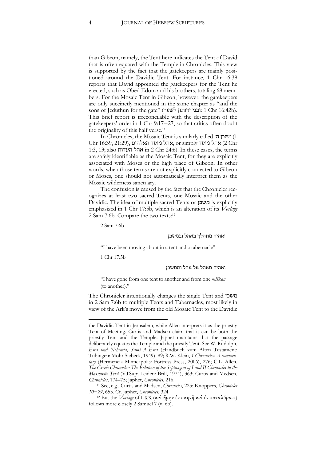than Gibeon, namely, the Tent here indicates the Tent of David that is often equated with the Temple in Chronicles. This view is supported by the fact that the gatekeepers are mainly positioned around the Davidic Tent. For instance, 1 Chr 16:38 reports that David appointed the gatekeepers for the Tent he erected, such as Obed Edom and his brothers, totaling 68 members. For the Mosaic Tent in Gibeon, however, the gatekeepers are only succinctly mentioned in the same chapter as "and the sons of Jeduthun for the gate" (ובני ידותון ובני: 1 Chr 16:42b). This brief report is irreconcilable with the description of the gatekeepers' order in 1 Chr 9:17−27, so that critics often doubt the originality of this half verse.<sup>11</sup>

In Chronicles, the Mosaic Tent is similarly called ה׳ משכן) 1 Chr 16:39, 21:29), אהל מועד האלהים, or simply אהל מועד (2 $\chi$ Chr 1:3, 13; also העדות אהל in 2 Chr 24:6). In these cases, the terms are safely identifiable as the Mosaic Tent, for they are explicitly associated with Moses or the high place of Gibeon. In other words, when those terms are not explicitly connected to Gibeon or Moses, one should not automatically interpret them as the Mosaic wilderness sanctuary.

The confusion is caused by the fact that the Chronicler recognizes at least two sacred Tents, one Mosaic and the other Davidic. The idea of multiple sacred Tents or משכן is explicitly emphasized in 1 Chr 17:5b, which is an alteration of its *Vorlage* 2 Sam 7:6b. Compare the two texts:<sup>12</sup>

2 Sam 7:6b

#### ואהיה מתהלך באהל ובמשכן

"I have been moving about in a tent and a tabernacle"

1 Chr 17:5b

-

#### ואהיה מאהל אל אהל וממשכן

"I have gone from one tent to another and from one *miškan* (to another)."

The Chronicler intentionally changes the single Tent and משכן in 2 Sam 7:6b to multiple Tents and Tabernacles, most likely in view of the Ark's move from the old Mosaic Tent to the Davidic

the Davidic Tent in Jerusalem, while Allen interprets it as the priestly Tent of Meeting. Curtis and Madsen claim that it can be both the priestly Tent and the Temple. Japhet maintains that the passage deliberately equates the Temple and the priestly Tent. See W. Rudolph, *Esra und Nehemia, Samt 3 Esra* (Handbuch zum Alten Testament; Tübingen: Mohr Siebeck, 1949), 89; R.W. Klein, *1 Chronicles: A commentary* (Hermeneia Minneapolis: Fortress Press, 2006), 276; C.L. Allen, *The Greek Chronicles: The Relation of the Septuagint of I and II Chronicles to the Massoretic Text* (VTSup; Leiden: Brill, 1974), 363; Curtis and Medsen, *Chronicles*, 174–75; Japhet, *Chronicles*, 216.

<sup>11</sup> See, e.g., Curtis and Madsen, *Chronicles*, 225; Knoppers, *Chronicles 10*−*29*, 653. Cf. Japhet, *Chronicles*, 324.

<sup>12</sup> But the *Vorlage* of LXX (καὶ ἤμην ἐν σκηνῇ καὶ ἐν καταλύματι) follows more closely 2 Samuel 7 (v. 6b).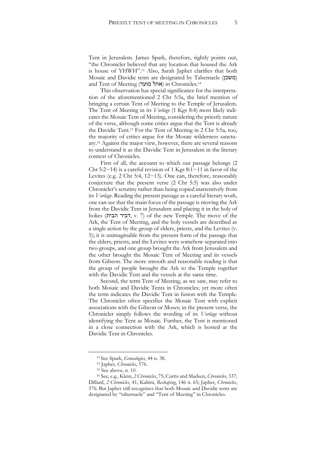Tent in Jerusalem. James Spark, therefore, rightly points out, "the Chronicler believed that any location that housed the Ark is house of YHWH".<sup>13</sup> Also, Sarah Japhet clarifies that both Mosaic and Davidic tents are designated by Tabernacle (משכן) and Tent of Meeting (אהל מועד) in Chronicles.<sup>14</sup>

This observation has special significance for the interpretation of the aforementioned 2 Chr 5:5a, the brief mention of bringing a certain Tent of Meeting to the Temple of Jerusalem. The Tent of Meeting in its *Vorlage* (1 Kgs 8:4) most likely indicates the Mosaic Tent of Meeting, considering the priestly nature of the verse, although some critics argue that the Tent is already the Davidic Tent.<sup>15</sup> For the Tent of Meeting in 2 Chr 5:5a, too, the majority of critics argue for the Mosaic wilderness sanctuary.<sup>16</sup> Against the major view, however, there are several reasons to understand it as the Davidic Tent in Jerusalem in the literary context of Chronicles.

First of all, the account to which our passage belongs (2 Chr 5:2−14) is a careful revision of 1 Kgs 8:1−11 in favor of the Levites (e.g. 2 Chr 5:4, 12−13). One can, therefore, reasonably conjecture that the present verse (2 Chr 5:5) was also under Chronicler's scrutiny rather than being copied inattentively from its *Vorlage*. Reading the present passage as a careful literary work, one can see that the main focus of the passage is moving the Ark from the Davidic Tent in Jerusalem and placing it in the holy of holies (הבית דביר, v. 7) of the new Temple. The move of the Ark, the Tent of Meeting, and the holy vessels are described as a single action by the group of elders, priests, and the Levites (v. 5); it is unimaginable from the present form of the passage that the elders, priests, and the Levites were somehow separated into two groups, and one group brought the Ark from Jerusalem and the other brought the Mosaic Tent of Meeting and its vessels from Gibeon. The more smooth and reasonable reading is that the group of people brought the Ark to the Temple together with the Davidic Tent and the vessels at the same time.

Second, the term Tent of Meeting, as we saw, may refer to both Mosaic and Davidic Tents in Chronicles; yet more often the term indicates the Davidic Tent in fusion with the Temple. The Chronicler often specifies the Mosaic Tent with explicit associations with the Gibeon or Moses; in the present verse, the Chronicler simply follows the wording of its *Vorlage* without identifying the Tent as Mosaic. Further, the Tent is mentioned in a close connection with the Ark, which is hosted at the Davidic Tent in Chronicles.

<sup>13</sup> See Spark, *Genealogies*, 44 n. 38.

<sup>14</sup> Japhet, *Chronicles*, 576.

<sup>15</sup> See above, n. 10.

<sup>16</sup> See, e.g., Klein, *2 Chronicles*, 75; Curtis and Madsen, *Chronicles*, 337; Dillard, *2 Chronicles*, 41; Kalimi, *Reshaping*, 146 n. 65; Japhet, *Chronicles*, 576. But Japhet still recognizes that both Mosaic and Davidic tents are designated by "tabernacle" and "Tent of Meeting" in Chronicles.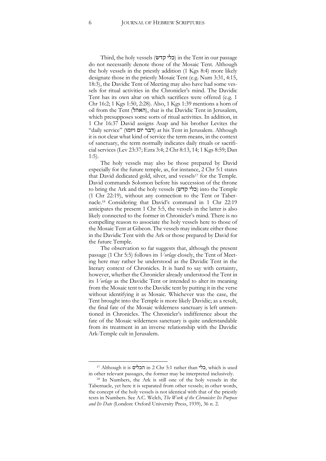Third, the holy vessels (כלי קדש) in the Tent in our passage do not necessarily denote those of the Mosaic Tent. Although the holy vessels in the priestly addition (1 Kgs 8:4) more likely designate those in the priestly Mosaic Tent (e.g. Num 3:31, 4:15, 18:3), the Davidic Tent of Meeting may also have had some vessels for ritual activities in the Chronicler's mind. The Davidic Tent has its own altar on which sacrifices were offered (e.g. 1 Chr 16:2; 1 Kgs 1:50, 2:28). Also, 1 Kgs 1:39 mentions a horn of oil from the Tent (האהל), that is the Davidic Tent in Jerusalem, which presupposes some sorts of ritual activities. In addition, in 1 Chr 16:37 David assigns Asap and his brother Levites the "daily service" (דבר יום ויומו) at his Tent in Jerusalem. Although it is not clear what kind of service the term means, in the context of sanctuary, the term normally indicates daily rituals or sacrificial services (Lev 23:37; Ezra 3:4; 2 Chr 8:13, 14; 1 Kgs 8:59; Dan 1:5).

The holy vessels may also be those prepared by David especially for the future temple, as, for instance, 2 Chr 5:1 states that David dedicated gold, silver, and vessels<sup>17</sup> for the Temple. David commands Solomon before his succession of the throne to bring the Ark and the holy vessels (כלי קדש) into the Temple (1 Chr 22:19), without any connection to the Tent or Tabernacle.<sup>18</sup> Considering that David's command in 1 Chr 22:19 anticipates the present 1 Chr 5:5, the vessels in the latter is also likely connected to the former in Chronicler's mind. There is no compelling reason to associate the holy vessels here to those of the Mosaic Tent at Gibeon. The vessels may indicate either those in the Davidic Tent with the Ark or those prepared by David for the future Temple.

The observation so far suggests that, although the present passage (1 Chr 5:5) follows its *Vorlage* closely, the Tent of Meeting here may rather be understood as the Davidic Tent in the literary context of Chronicles. It is hard to say with certainty, however, whether the Chronicler already understood the Tent in its *Vorlage* as the Davidic Tent or intended to alter its meaning from the Mosaic tent to the Davidic tent by putting it in the verse without identifying it as Mosaic. Whichever was the case, the Tent brought into the Temple is more likely Davidic; as a result, the final fate of the Mosaic wilderness sanctuary is left unmentioned in Chronicles. The Chronicler's indifference about the fate of the Mosaic wilderness sanctuary is quite understandable from its treatment in an inverse relationship with the Davidic Ark-Temple cult in Jerusalem.

 $\overline{a}$ 

<sup>17</sup> Although it is הכלים in 2 Chr 5:1 rather than כלי, which is used in other relevant passages, the former may be interpreted inclusively.

<sup>18</sup> In Numbers, the Ark is still one of the holy vessels in the Tabernacle, yet here it is separated from other vessels; in other words, the concept of the holy vessels is not identical with that of the priestly texts in Numbers. See A.C. Welch, *The Work of the Chronicler: Its Purpose and Its Date* (London: Oxford University Press, 1939), 36 n. 2.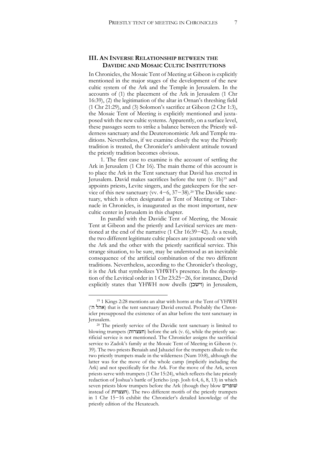#### **III. AN INVERSE RELATIONSHIP BETWEEN THE DAVIDIC AND MOSAIC CULTIC INSTITUTIONS**

In Chronicles, the Mosaic Tent of Meeting at Gibeon is explicitly mentioned in the major stages of the development of the new cultic system of the Ark and the Temple in Jerusalem. In the accounts of (1) the placement of the Ark in Jerusalem (1 Chr 16:39), (2) the legitimation of the altar in Ornan's threshing field (1 Chr 21:29), and (3) Solomon's sacrifice at Gibeon (2 Chr 1:3), the Mosaic Tent of Meeting is explicitly mentioned and juxtaposed with the new cultic systems. Apparently, on a surface level, these passages seem to strike a balance between the Priestly wilderness sanctuary and the Deuteronomistic Ark and Temple traditions. Nevertheless, if we examine closely the way the Priestly tradition is treated, the Chronicler's ambivalent attitude toward the priestly tradition becomes obvious.

1. The first case to examine is the account of settling the Ark in Jerusalem (1 Chr 16). The main theme of this account is to place the Ark in the Tent sanctuary that David has erected in Jerusalem. David makes sacrifices before the tent (v. 1b)<sup>19</sup> and appoints priests, Levite singers, and the gatekeepers for the service of this new sanctuary (vv. 4−6, 37−38).<sup>20</sup> The Davidic sanctuary, which is often designated as Tent of Meeting or Tabernacle in Chronicles, is inaugurated as the most important, new cultic center in Jerusalem in this chapter.

In parallel with the Davidic Tent of Meeting, the Mosaic Tent at Gibeon and the priestly and Levitical services are mentioned at the end of the narrative (1 Chr 16:39−42). As a result, the two different legitimate cultic places are juxtaposed: one with the Ark and the other with the priestly sacrificial service. This strange situation, to be sure, may be understood as an inevitable consequence of the artificial combination of the two different traditions. Nevertheless, according to the Chronicler's theology, it is the Ark that symbolizes YHWH's presence. In the description of the Levitical order in 1 Chr 23:25−26, for instance, David explicitly states that YHWH now dwells (וישכן) in Jerusalem,

<sup>19</sup> 1 Kings 2:28 mentions an altar with horns at the Tent of YHWH (אהל ה׳) that is the tent sanctuary David erected. Probably the Chronicler presupposed the existence of an altar before the tent sanctuary in Jerusalem.

<sup>20</sup> The priestly service of the Davidic tent sanctuary is limited to blowing trumpets (חצצרות) before the ark (v. 6), while the priestly sacrificial service is not mentioned. The Chronicler assigns the sacrificial service to Zadok's family at the Mosaic Tent of Meeting in Gibeon (v. 39). The two priests Benaiah and Jahaziel for the trumpets allude to the two priestly trumpets made in the wilderness (Num 10:8), although the latter was for the move of the whole camp (implicitly including the Ark) and not specifically for the Ark. For the move of the Ark, seven priests serve with trumpets (1 Chr 15:24), which reflects the late priestly redaction of Joshua's battle of Jericho (esp. Josh 6:4, 6, 8, 13) in which seven priests blow trumpets before the Ark (though they blow שופריםׁ instead of חצצרות). The two different motifs of the priestly trumpets in 1 Chr 15−16 exhibit the Chronicler's detailed knowledge of the priestly edition of the Hexateuch.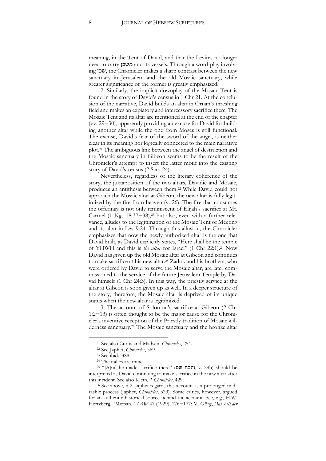meaning, in the Tent of David, and that the Levites no longer need to carry משכן and its vessels. Through a word-play involving שכן, the Chronicler makes a sharp contrast between the new sanctuary in Jerusalem and the old Mosaic sanctuary, while greater significance of the former is greatly emphasized.

2. Similarly, the implicit downplay of the Mosaic Tent is found in the story of David's census in 1 Chr 21. At the conclusion of the narrative, David builds an altar in Ornan's threshing field and makes an expiatory and intercessory sacrifice there. The Mosaic Tent and its altar are mentioned at the end of the chapter (vv. 29−30), apparently providing an excuse for David for building another altar while the one from Moses is still functional. The excuse, David's fear of the sword of the angel, is neither clear in its meaning nor logically connected to the main narrative plot.<sup>21</sup> The ambiguous link between the angel of destruction and the Mosaic sanctuary in Gibeon seems to be the result of the Chronicler's attempt to insert the latter motif into the existing story of David's census (2 Sam 24).

Nevertheless, regardless of the literary coherence of the story, the juxtaposition of the two altars, Davidic and Mosaic, produces an antithesis between them.<sup>22</sup> While David could not approach the Mosaic altar at Gibeon, the new altar is fully legitimized by the fire from heaven (v. 26). The fire that consumes the offerings is not only reminiscent of Elijah's sacrifice at Mt. Carmel (1 Kgs 18:37−38),<sup>23</sup> but also, even with a further relevance, alludes to the legitimation of the Mosaic Tent of Meeting and its altar in Lev 9:24. Through this allusion, the Chronicler emphasizes that now the newly authorized altar is the one that David built, as David explicitly states, "Here shall be the temple of YHWH and this is *the altar* for Israel" (1 Chr 22:1).<sup>24</sup> Now David has given up the old Mosaic altar at Gibeon and continues to make sacrifice at his new altar.<sup>25</sup> Zadok and his brothers, who were ordered by David to serve the Mosaic altar, are later commissioned to the service of the future Jerusalem Temple by David himself (1 Chr 24:3). In this way, the priestly service at the altar at Gibeon is soon given up as well. In a deeper structure of the story, therefore, the Mosaic altar is deprived of its unique status when the new altar is legitimized.

3. The account of Solomon's sacrifice at Gibeon (2 Chr 1:2−13) is often thought to be the major cause for the Chronicler's inventive reception of the Priestly tradition of Mosaic wilderness sanctuary.<sup>26</sup> The Mosaic sanctuary and the bronze altar

<sup>21</sup> See also Curtis and Madsen, *Chronicles*, 254.

<sup>22</sup> See Japhet, *Chronicles*, 389.

<sup>23</sup> See ibid., 388.

<sup>24</sup> The italics are mine.

<sup>&</sup>lt;sup>25</sup> "[A]nd he made sacrifice there" (**שם)**, v. 28b) should be interpreted as David continuing to make sacrifice in the new altar after this incident. See also Klein, *1 Chronicles*, 429.

<sup>26</sup> See above, n 2. Japhet regards this account as a prolonged midrashic process (Japhet, *Chronicles*, 323). Some critics, however, argued for an authentic historical source behind the account. See, e.g., H.W. Hertzberg, "Mizpah," *ZAW* 47 (1929), 176−177; M. Görg, *Das Zelt der*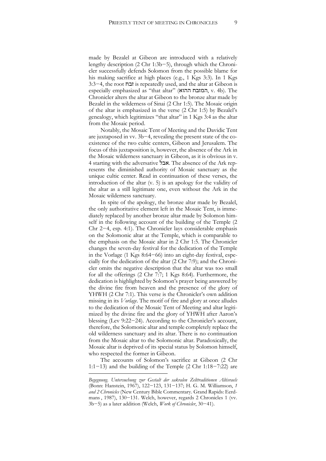made by Bezalel at Gibeon are introduced with a relatively lengthy description (2 Chr 1:3b−5), through which the Chronicler successfully defends Solomon from the possible blame for his making sacrifice at high places (e.g., 1 Kgs 3:3). In 1 Kgs 3:3−4, the root זבח is repeatedly used, and the altar at Gibeon is especially emphasized as "that altar" (ההוא המזבח, v. 4b). The Chronicler alters the altar at Gibeon to the bronze altar made by Bezalel in the wilderness of Sinai (2 Chr 1:5). The Mosaic origin of the altar is emphasized in the verse (2 Chr 1:5) by Bezalel's genealogy, which legitimizes "that altar" in 1 Kgs 3:4 as the altar from the Mosaic period.

Notably, the Mosaic Tent of Meeting and the Davidic Tent are juxtaposed in vv. 3b−4, revealing the present state of the coexistence of the two cultic centers, Gibeon and Jerusalem. The focus of this juxtaposition is, however, the absence of the Ark in the Mosaic wilderness sanctuary in Gibeon, as it is obvious in v. 4 starting with the adversative אבל. The absence of the Ark represents the diminished authority of Mosaic sanctuary as the unique cultic center. Read in continuation of these verses, the introduction of the altar (v. 5) is an apology for the validity of the altar as a still legitimate one, even without the Ark in the Mosaic wilderness sanctuary.

In spite of the apology, the bronze altar made by Bezalel, the only authoritative element left in the Mosaic Tent, is immediately replaced by another bronze altar made by Solomon himself in the following account of the building of the Temple (2 Chr 2−4, esp. 4:1). The Chronicler lays considerable emphasis on the Solomonic altar at the Temple, which is comparable to the emphasis on the Mosaic altar in 2 Chr 1:5. The Chronicler changes the seven-day festival for the dedication of the Temple in the Vorlage (1 Kgs 8:64−66) into an eight-day festival, especially for the dedication of the altar (2 Chr 7:9); and the Chronicler omits the negative description that the altar was too small for all the offerings (2 Chr 7:7; 1 Kgs 8:64). Furthermore, the dedication is highlighted by Solomon's prayer being answered by the divine fire from heaven and the presence of the glory of YHWH (2 Chr 7:1). This verse is the Chronicler's own addition missing in its *Vorlage*. The motif of fire and glory at once alludes to the dedication of the Mosaic Tent of Meeting and altar legitimized by the divine fire and the glory of YHWH after Aaron's blessing (Lev 9:22−24). According to the Chronicler's account, therefore, the Solomonic altar and temple completely replace the old wilderness sanctuary and its altar. There is no continuation from the Mosaic altar to the Solomonic altar. Paradoxically, the Mosaic altar is deprived of its special status by Solomon himself, who respected the former in Gibeon.

The accounts of Solomon's sacrifice at Gibeon (2 Chr 1:1−13) and the building of the Temple (2 Chr 1:18−7:22) are

*Begegnung*. *Untersuchung zur Gestalt der sakralen Zelttraditionen Altisraels* (Bonn: Hanstein, 1967), 122−123, 131−137; H. G. M. Williamson, *1 and 2 Chronicles* (New Century Bible Commentary. Grand Rapids: Eerdmans , 1987), 130−131. Welch, however, regards 2 Chronicles 1 (vv. 3b−5) as a later addition (Welch, *Work of Chronicler*, 30−41).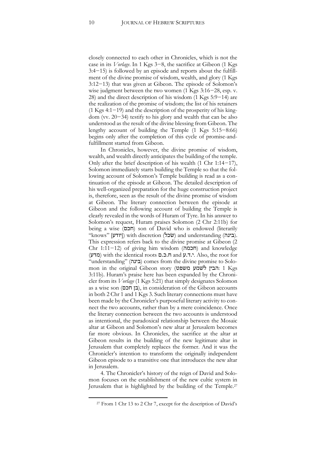closely connected to each other in Chronicles, which is not the case in its *Vorlage*. In 1 Kgs 3−8, the sacrifice at Gibeon (1 Kgs 3:4−15) is followed by an episode and reports about the fulfillment of the divine promise of wisdom, wealth, and glory (1 Kgs 3:12−13) that was given at Gibeon. The episode of Solomon's wise judgment between the two women (1 Kgs 3:16−28, esp. v. 28) and the direct description of his wisdom (1 Kgs 5:9−14) are the realization of the promise of wisdom; the list of his retainers (1 Kgs 4:1−19) and the description of the prosperity of his kingdom (vv. 20−34) testify to his glory and wealth that can be also understood as the result of the divine blessing from Gibeon. The lengthy account of building the Temple (1 Kgs 5:15−8:66) begins only after the completion of this cycle of promise-andfulfillment started from Gibeon.

In Chronicles, however, the divine promise of wisdom, wealth, and wealth directly anticipates the building of the temple. Only after the brief description of his wealth (1 Chr 1:14−17), Solomon immediately starts building the Temple so that the following account of Solomon's Temple building is read as a continuation of the episode at Gibeon. The detailed description of his well-organized preparation for the huge construction project is, therefore, seen as the result of the divine promise of wisdom at Gibeon. The literary connection between the episode at Gibeon and the following account of building the Temple is clearly revealed in the words of Huram of Tyre. In his answer to Solomon's request, Huram praises Solomon (2 Chr 2:11b) for being a wise (חכם) son of David who is endowed (literarily "knows" [יודע]) with discretion (שכל) and understanding (בינה). This expression refers back to the divine promise at Gibeon (2 Chr 1:11−12) of giving him wisdom (חכמה) and knowledge (מדע (with the identical roots ם.כ.ח and ע.ד.י. Also, the root for "understanding" (בינה) comes from the divine promise to Solomon in the original Gibeon story (הבין לשמע משפט: 1 Kgs 3:11b). Huram's praise here has been expanded by the Chronicler from its *Vorlage* (1 Kgs 5:21) that simply designates Solomon as a wise son (בן חכם), in consideration of the Gibeon accounts in both 2 Chr 1 and 1 Kgs 3. Such literary connections must have been made by the Chronicler's purposeful literary activity to connect the two accounts, rather than by a mere coincidence. Once the literary connection between the two accounts is understood as intentional, the paradoxical relationship between the Mosaic altar at Gibeon and Solomon's new altar at Jerusalem becomes far more obvious. In Chronicles, the sacrifice at the altar at Gibeon results in the building of the new legitimate altar in Jerusalem that completely replaces the former. And it was the Chronicler's intention to transform the originally independent Gibeon episode to a transitive one that introduces the new altar in Jerusalem.

4. The Chronicler's history of the reign of David and Solomon focuses on the establishment of the new cultic system in Jerusalem that is highlighted by the building of the Temple.<sup>27</sup>

 $\overline{a}$ 

<sup>27</sup> From 1 Chr 13 to 2 Chr 7, except for the description of David's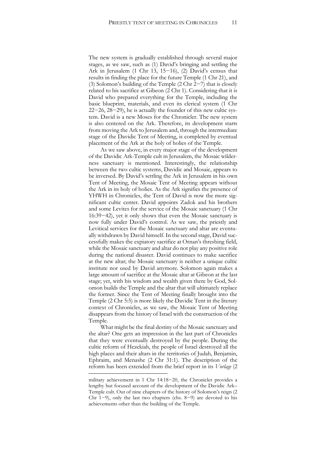The new system is gradually established through several major stages, as we saw, such as (1) David's bringing and settling the Ark in Jerusalem (1 Chr 13, 15−16), (2) David's census that results in finding the place for the future Temple (1 Chr 21), and (3) Solomon's building of the Temple (2 Chr 2−7) that is closely related to his sacrifice at Gibeon (2 Chr 1). Considering that it is David who prepared everything for the Temple, including the basic blueprint, materials, and even its clerical system (1 Chr 22−26, 28−29), he is actually the founder of this new cultic system. David is a new Moses for the Chronicler. The new system is also centered on the Ark. Therefore, its development starts from moving the Ark to Jerusalem and, through the intermediate stage of the Davidic Tent of Meeting, is completed by eventual placement of the Ark at the holy of holies of the Temple.

As we saw above, in every major stage of the development of the Davidic Ark-Temple cult in Jerusalem, the Mosaic wilderness sanctuary is mentioned. Interestingly, the relationship between the two cultic systems, Davidic and Mosaic, appears to be inversed. By David's settling the Ark in Jerusalem in his own Tent of Meeting, the Mosaic Tent of Meeting appears without the Ark in its holy of holies. As the Ark signifies the presence of YHWH in Chronicles, the Tent of David is now the more significant cultic center. David appoints Zadok and his brothers and some Levites for the service of the Mosaic sanctuary (1 Chr 16:39−42), yet it only shows that even the Mosaic sanctuary is now fully under David's control. As we saw, the priestly and Levitical services for the Mosaic sanctuary and altar are eventually withdrawn by David himself. In the second stage, David successfully makes the expiatory sacrifice at Ornan's threshing field, while the Mosaic sanctuary and altar do not play any positive role during the national disaster. David continues to make sacrifice at the new altar; the Mosaic sanctuary is neither a unique cultic institute nor used by David anymore. Solomon again makes a large amount of sacrifice at the Mosaic altar at Gibeon at the last stage; yet, with his wisdom and wealth given there by God, Solomon builds the Temple and the altar that will ultimately replace the former. Since the Tent of Meeting finally brought into the Temple (2 Chr 5:5) is more likely the Davidic Tent in the literary context of Chronicles, as we saw, the Mosaic Tent of Meeting disappears from the history of Israel with the construction of the Temple.

What might be the final destiny of the Mosaic sanctuary and the altar? One gets an impression in the last part of Chronicles that they were eventually destroyed by the people. During the cultic reform of Hezekiah, the people of Israel destroyed all the high places and their altars in the territories of Judah, Benjamin, Ephraim, and Menashe (2 Chr 31:1). The description of the reform has been extended from the brief report in its *Vorlage* (2

military achievement in 1 Chr 14:18−20, the Chronicler provides a lengthy but focused account of the development of the Davidic Ark– Temple cult. Out of nine chapters of the history of Solomon's reign (2 Chr 1−9), only the last two chapters (chs. 8−9) are devoted to his achievements other than the building of the Temple.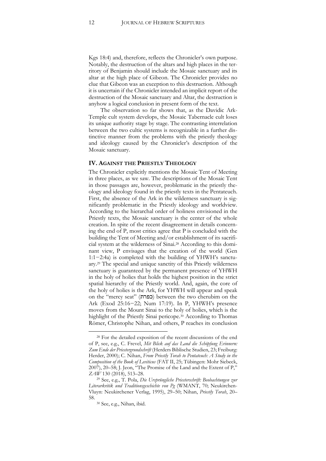Kgs 18:4) and, therefore, reflects the Chronicler's own purpose. Notably, the destruction of the altars and high places in the territory of Benjamin should include the Mosaic sanctuary and its altar at the high place of Gibeon. The Chronicler provides no clue that Gibeon was an exception to this destruction. Although it is uncertain if the Chronicler intended an implicit report of the destruction of the Mosaic sanctuary and Altar, the destruction is anyhow a logical conclusion in present form of the text.

The observation so far shows that, as the Davidic Ark-Temple cult system develops, the Mosaic Tabernacle cult loses its unique authority stage by stage. The contrasting interrelation between the two cultic systems is recognizable in a further distinctive manner from the problems with the priestly theology and ideology caused by the Chronicler's description of the Mosaic sanctuary.

#### **IV. AGAINST THE PRIESTLY THEOLOGY**

The Chronicler explicitly mentions the Mosaic Tent of Meeting in three places, as we saw. The descriptions of the Mosaic Tent in those passages are, however, problematic in the priestly theology and ideology found in the priestly texts in the Pentateuch. First, the absence of the Ark in the wilderness sanctuary is significantly problematic in the Priestly ideology and worldview. According to the hierarchal order of holiness envisioned in the Priestly texts, the Mosaic sanctuary is the center of the whole creation. In spite of the recent disagreement in details concerning the end of P, most critics agree that P is concluded with the building the Tent of Meeting and/or establishment of its sacrificial system at the wilderness of Sinai.<sup>28</sup> According to this dominant view, P envisages that the creation of the world (Gen 1:1−2:4a) is completed with the building of YHWH's sanctuary.<sup>29</sup> The special and unique sanctity of this Priestly wilderness sanctuary is guaranteed by the permanent presence of YHWH in the holy of holies that holds the highest position in the strict spatial hierarchy of the Priestly world. And, again, the core of the holy of holies is the Ark, for YHWH will appear and speak on the "mercy seat" (**כפרת)** between the two cherubim on the Ark (Exod 25:16−22; Num 17:19). In P, YHWH's presence moves from the Mount Sinai to the holy of holies, which is the highlight of the Priestly Sinai pericope.<sup>30</sup> According to Thomas Römer, Christophe Nihan, and others, P reaches its conclusion

 $\overline{a}$ 

<sup>28</sup> For the detailed exposition of the recent discussions of the end of P, see, e.g., C. Frevel, *Mit Blick auf das Land die Schöpfung Erinnern: Zum Ende der Priestergrundschrift* (Herders Biblische Studien, 23; Freiburg: Herder, 2000); C. Nihan, *From Priestly Torah to Pentateuch: A Study in the Composition of the Book of Leviticus* (FAT II, 25; Tübingen: Mohr Siebeck, 2007), 20–58; J. Jeon, "The Promise of the Land and the Extent of P," *ZAW* 130 (2018), 513–28.

<sup>29</sup> See, e.g., T. Pola, *Die Ursprüngliche Priesterschrift: Beobachtungen zur Literarkritik und Traditionsgeschichte von Pg* (WMANT, 70; Neukirchen-Vluyn: Neukirchener Verlag, 1995), 29–50; Nihan, *Priestly Torah*, 20– 58.

<sup>30</sup> See, e.g., Nihan, ibid.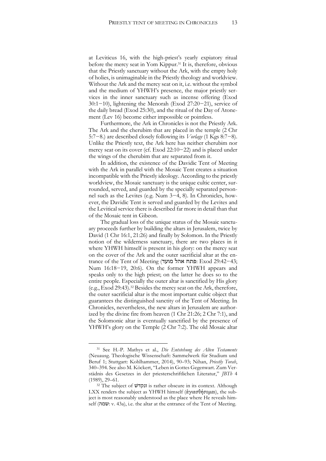at Leviticus 16, with the high-priest's yearly expiatory ritual before the mercy seat in Yom Kippur.<sup>31</sup> It is, therefore, obvious that the Priestly sanctuary without the Ark, with the empty holy of holies, is unimaginable in the Priestly theology and worldview. Without the Ark and the mercy seat on it, i.e. without the symbol and the medium of YHWH's presence, the major priestly services in the inner sanctuary such as incense offering (Exod 30:1−10), lightening the Menorah (Exod 27:20−21), service of the daily bread (Exod 25:30), and the ritual of the Day of Atonement (Lev 16) become either impossible or pointless.

Furthermore, the Ark in Chronicles is not the Priestly Ark. The Ark and the cherubim that are placed in the temple (2 Chr 5:7−8.) are described closely following its *Vorlage* (1 Kgs 8:7−8). Unlike the Priestly text, the Ark here has neither cherubim nor mercy seat on its cover (cf. Exod 22:10−22) and is placed under the wings of the cherubim that are separated from it.

In addition, the existence of the Davidic Tent of Meeting with the Ark in parallel with the Mosaic Tent creates a situation incompatible with the Priestly ideology. According to the priestly worldview, the Mosaic sanctuary is the unique cultic center, surrounded, served, and guarded by the specially separated personnel such as the Levites (e.g. Num 3−4, 8). In Chronicles, however, the Davidic Tent is served and guarded by the Levites and the Levitical service there is described far more in detail than that of the Mosaic tent in Gibeon.

The gradual loss of the unique status of the Mosaic sanctuary proceeds further by building the altars in Jerusalem, twice by David (1 Chr 16:1, 21:26) and finally by Solomon. In the Priestly notion of the wilderness sanctuary, there are two places in it where YHWH himself is present in his glory: on the mercy seat on the cover of the Ark and the outer sacrificial altar at the entrance of the Tent of Meeting (מועד אהל פתח: Exod 29:42−43; Num 16:18−19, 20:6). On the former YHWH appears and speaks only to the high priest; on the latter he does so to the entire people. Especially the outer altar is sanctified by His glory (e.g., Exod 29:43). <sup>32</sup> Besides the mercy seat on the Ark, therefore, the outer sacrificial altar is the most important cultic object that guarantees the distinguished sanctity of the Tent of Meeting. In Chronicles, nevertheless, the new altars in Jerusalem are authorized by the divine fire from heaven (1 Chr 21:26; 2 Chr 7:1), and the Solomonic altar is eventually sanctified by the presence of YHWH's glory on the Temple (2 Chr 7:2). The old Mosaic altar

-

<sup>31</sup> See H.-P. Mathys et al., *Die Entstehung des Alten Testaments* (Neuausg. Theologische Wissenschaft: Sammelwerk für Studium und Beruf 1; Stuttgart: Kohlhammer, 2014), 90–93; Nihan, *Priestly Torah*, 340–394. See also M. Köckert, "Leben in Gottes Gegenwart. Zum Verstädnis des Gesetzes in der priesterschriftlichen Literatur," *JBTh* 4 (1989), 29–61.

<sup>&</sup>lt;sup>32</sup> The subject of ונקדש is rather obscure in its context. Although LXX renders the subject as YHWH himself (άγιασθήσομαι), the subject is most reasonably understood as the place where He reveals himself (שמה: v. 43a), i.e. the altar at the entrance of the Tent of Meeting.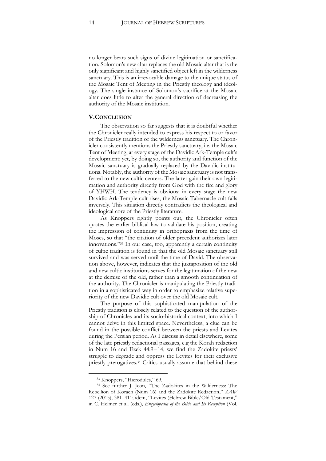no longer bears such signs of divine legitimation or sanctification. Solomon's new altar replaces the old Mosaic altar that is the only significant and highly sanctified object left in the wilderness sanctuary. This is an irrevocable damage to the unique status of the Mosaic Tent of Meeting in the Priestly theology and ideology. The single instance of Solomon's sacrifice at the Mosaic altar does little to alter the general direction of decreasing the authority of the Mosaic institution.

#### **V.CONCLUSION**

The observation so far suggests that it is doubtful whether the Chronicler really intended to express his respect to or favor of the Priestly tradition of the wilderness sanctuary. The Chronicler consistently mentions the Priestly sanctuary, i.e. the Mosaic Tent of Meeting, at every stage of the Davidic Ark-Temple cult's development; yet, by doing so, the authority and function of the Mosaic sanctuary is gradually replaced by the Davidic institutions. Notably, the authority of the Mosaic sanctuary is not transferred to the new cultic centers. The latter gain their own legitimation and authority directly from God with the fire and glory of YHWH. The tendency is obvious: in every stage the new Davidic Ark-Temple cult rises, the Mosaic Tabernacle cult falls inversely. This situation directly contradicts the theological and ideological core of the Priestly literature.

As Knoppers rightly points out, the Chronicler often quotes the earlier biblical law to validate his position, creating the impression of continuity in orthopraxis from the time of Moses, so that "the citation of older precedent authorizes later innovations."<sup>33</sup> In our case, too, apparently a certain continuity of cultic tradition is found in that the old Mosaic sanctuary still survived and was served until the time of David. The observation above, however, indicates that the juxtaposition of the old and new cultic institutions serves for the legitimation of the new at the demise of the old, rather than a smooth continuation of the authority. The Chronicler is manipulating the Priestly tradition in a sophisticated way in order to emphasize relative superiority of the new Davidic cult over the old Mosaic cult.

The purpose of this sophisticated manipulation of the Priestly tradition is closely related to the question of the authorship of Chronicles and its socio-historical context, into which I cannot delve in this limited space. Nevertheless, a clue can be found in the possible conflict between the priests and Levites during the Persian period. As I discuss in detail elsewhere, some of the late priestly redactional passages, e.g the Korah redaction in Num 16 and Ezek 44:9−14, we find the Zadokite priests' struggle to degrade and oppress the Levites for their exclusive priestly prerogatives.<sup>34</sup> Critics usually assume that behind these

<sup>33</sup> Knoppers, "Hierodules," 69.

<sup>34</sup> See further J. Jeon, "The Zadokites in the Wilderness: The Rebellion of Korach (Num 16) and the Zadokite Redaction," *ZAW* 127 (2015), 381–411; idem, "Levites (Hebrew Bible/Old Testament," in C. Helmer et al. (eds.), *Encyclopedia of the Bible and Its Reception* (Vol.